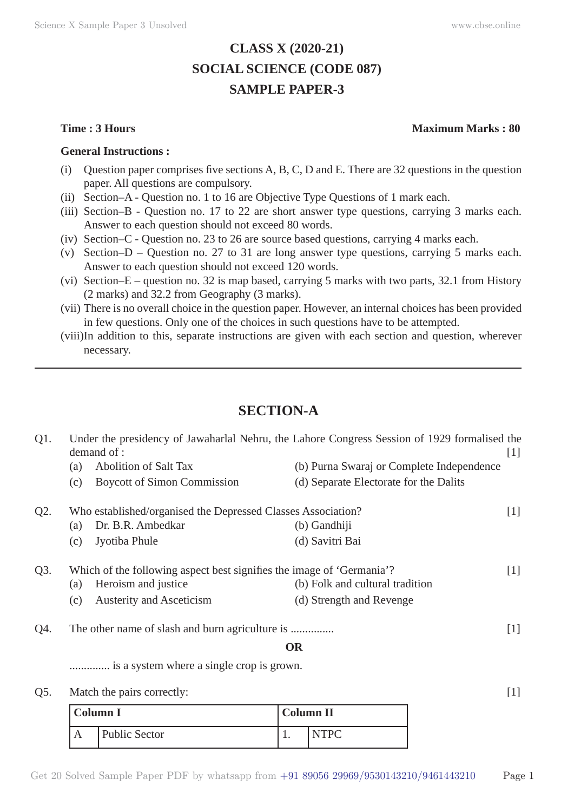# **CLASS X (2020-21) SOCIAL SCIENCE (CODE 087) SAMPLE PAPER-3**

### **General Instructions :**

- (i) Question paper comprises five sections A, B, C, D and E. There are 32 questions in the question paper. All questions are compulsory.
- (ii) Section–A Question no. 1 to 16 are Objective Type Questions of 1 mark each.
- (iii) Section–B Question no. 17 to 22 are short answer type questions, carrying 3 marks each. Answer to each question should not exceed 80 words.
- (iv) Section–C Question no. 23 to 26 are source based questions, carrying 4 marks each.
- (v) Section–D Question no. 27 to 31 are long answer type questions, carrying 5 marks each. Answer to each question should not exceed 120 words.
- (vi) Section–E question no. 32 is map based, carrying 5 marks with two parts, 32.1 from History (2 marks) and 32.2 from Geography (3 marks).
- (vii) There is no overall choice in the question paper. However, an internal choices has been provided in few questions. Only one of the choices in such questions have to be attempted.
- (viii) In addition to this, separate instructions are given with each section and question, wherever necessary.

# **SECTION-A**

| Under the presidency of Jawaharlal Nehru, the Lahore Congress Session of 1929 formalised the<br>demand of : |                                                                       |                                                                                                                                                                                                  | $[1]$                                                                                                                  |
|-------------------------------------------------------------------------------------------------------------|-----------------------------------------------------------------------|--------------------------------------------------------------------------------------------------------------------------------------------------------------------------------------------------|------------------------------------------------------------------------------------------------------------------------|
| (a)                                                                                                         |                                                                       | (b) Purna Swaraj or Complete Independence                                                                                                                                                        |                                                                                                                        |
| (c)                                                                                                         |                                                                       | (d) Separate Electorate for the Dalits                                                                                                                                                           |                                                                                                                        |
|                                                                                                             |                                                                       |                                                                                                                                                                                                  | $[1]$                                                                                                                  |
| (a)                                                                                                         |                                                                       | (b) Gandhiji                                                                                                                                                                                     |                                                                                                                        |
| (c)                                                                                                         |                                                                       | (d) Savitri Bai                                                                                                                                                                                  |                                                                                                                        |
|                                                                                                             | Which of the following aspect best signifies the image of 'Germania'? |                                                                                                                                                                                                  |                                                                                                                        |
| (a)                                                                                                         |                                                                       | (b) Folk and cultural tradition                                                                                                                                                                  |                                                                                                                        |
| (c)                                                                                                         |                                                                       | (d) Strength and Revenge                                                                                                                                                                         |                                                                                                                        |
|                                                                                                             |                                                                       |                                                                                                                                                                                                  | $[1]$                                                                                                                  |
|                                                                                                             |                                                                       |                                                                                                                                                                                                  |                                                                                                                        |
|                                                                                                             |                                                                       |                                                                                                                                                                                                  |                                                                                                                        |
|                                                                                                             |                                                                       |                                                                                                                                                                                                  | $[1]$                                                                                                                  |
|                                                                                                             |                                                                       | <b>Abolition of Salt Tax</b><br><b>Boycott of Simon Commission</b><br>Dr. B.R. Ambedkar<br>Jyotiba Phule<br>Heroism and justice<br><b>Austerity and Asceticism</b><br>Match the pairs correctly: | Who established/organised the Depressed Classes Association?<br><b>OR</b><br>is a system where a single crop is grown. |

| <b>Column I</b> |                      | <b>Column II</b> |  |
|-----------------|----------------------|------------------|--|
| А               | <b>Public Sector</b> |                  |  |

## **Time : 3 Hours Maximum Marks : 80**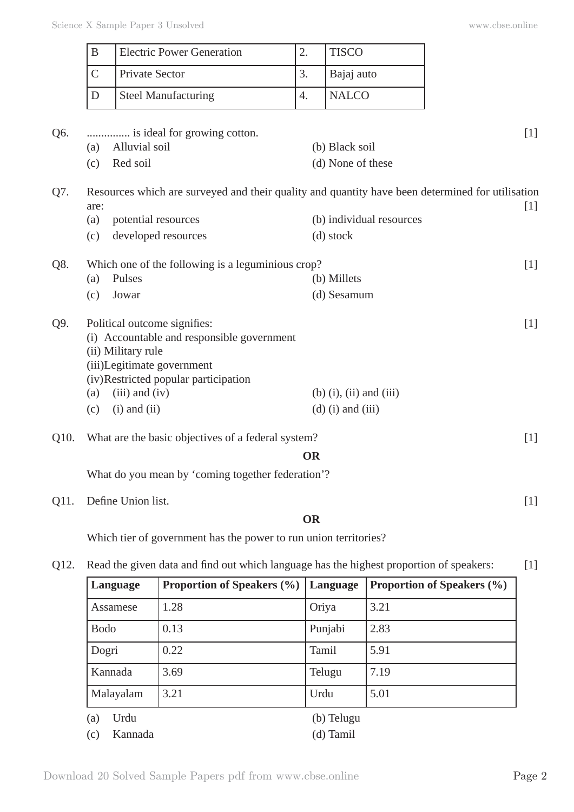|      | $\overline{B}$ | <b>Electric Power Generation</b>                                                                 | 2.        | <b>TISCO</b>              |       |
|------|----------------|--------------------------------------------------------------------------------------------------|-----------|---------------------------|-------|
|      | $\overline{C}$ | <b>Private Sector</b>                                                                            | 3.        | Bajaj auto                |       |
|      | D              | <b>Steel Manufacturing</b>                                                                       | 4.        | <b>NALCO</b>              |       |
|      |                | is ideal for growing cotton.                                                                     |           |                           | [1]   |
| Q6.  | (a)            | Alluvial soil                                                                                    |           | (b) Black soil            |       |
|      | (c)            | Red soil                                                                                         |           | (d) None of these         |       |
| Q7.  | are:           | Resources which are surveyed and their quality and quantity have been determined for utilisation |           |                           | $[1]$ |
|      | (a)            | potential resources                                                                              |           | (b) individual resources  |       |
|      | (c)            | developed resources                                                                              |           | (d) stock                 |       |
| Q8.  |                | Which one of the following is a leguminious crop?                                                |           |                           | [1]   |
|      | (a)            | Pulses                                                                                           |           | (b) Millets               |       |
|      | (c)            | Jowar                                                                                            |           | (d) Sesamum               |       |
| Q9.  |                | Political outcome signifies:<br>(i) Accountable and responsible government                       |           |                           | [1]   |
|      |                | (ii) Military rule                                                                               |           |                           |       |
|      |                | (iii)Legitimate government                                                                       |           |                           |       |
|      |                | (iv)Restricted popular participation                                                             |           |                           |       |
|      | (a)            | $(iii)$ and $(iv)$                                                                               |           | $(b)$ (i), (ii) and (iii) |       |
|      | (c)            | $(i)$ and $(ii)$                                                                                 |           | $(d)$ (i) and (iii)       |       |
| Q10. |                | What are the basic objectives of a federal system?                                               |           |                           | $[1]$ |
|      |                |                                                                                                  | <b>OR</b> |                           |       |
|      |                | What do you mean by 'coming together federation'?                                                |           |                           |       |
| Q11. |                | Define Union list.                                                                               |           |                           | $[1]$ |
|      |                |                                                                                                  | <b>OR</b> |                           |       |
|      |                | Which tier of government has the power to run union territories?                                 |           |                           |       |

# Q12. Read the given data and find out which language has the highest proportion of speakers: [1]

| Language       | <b>Proportion of Speakers (%)</b> | Language   | <b>Proportion of Speakers (%)</b> |
|----------------|-----------------------------------|------------|-----------------------------------|
| Assamese       | 1.28                              | Oriya      | 3.21                              |
| <b>Bodo</b>    | 0.13                              | Punjabi    | 2.83                              |
| Dogri          | 0.22                              | Tamil      | 5.91                              |
| Kannada        | 3.69                              | Telugu     | 7.19                              |
| Malayalam      | 3.21                              | Urdu       | 5.01                              |
| Urdu<br>(a)    |                                   | (b) Telugu |                                   |
| Kannada<br>(c) |                                   | (d) Tamil  |                                   |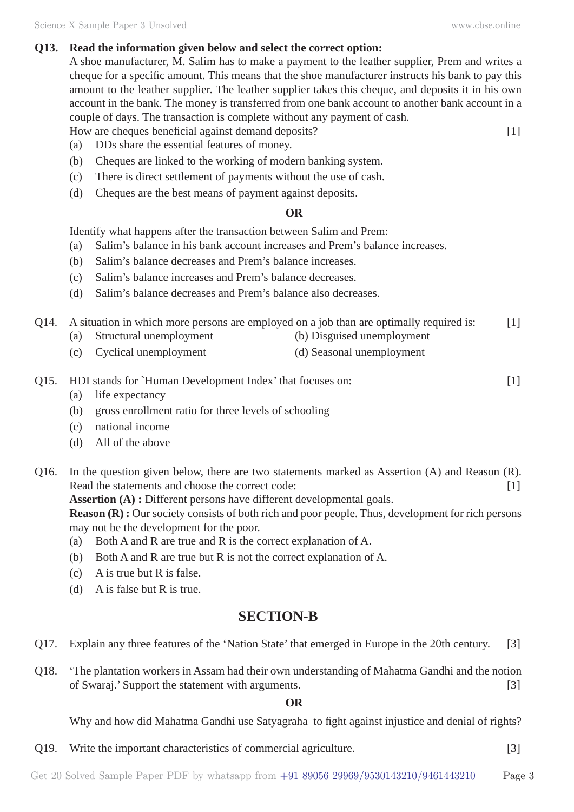# **Q13. Read the information given below and select the correct option:**

A shoe manufacturer, M. Salim has to make a payment to the leather supplier, Prem and writes a cheque for a specific amount. This means that the shoe manufacturer instructs his bank to pay this amount to the leather supplier. The leather supplier takes this cheque, and deposits it in his own account in the bank. The money is transferred from one bank account to another bank account in a couple of days. The transaction is complete without any payment of cash.

- How are cheques beneficial against demand deposits? [1]
- (a) DDs share the essential features of money.
- (b) Cheques are linked to the working of modern banking system.
- (c) There is direct settlement of payments without the use of cash.
- (d) Cheques are the best means of payment against deposits.

# **OR**

Identify what happens after the transaction between Salim and Prem:

- (a) Salim's balance in his bank account increases and Prem's balance increases.
- (b) Salim's balance decreases and Prem's balance increases.
- (c) Salim's balance increases and Prem's balance decreases.
- (d) Salim's balance decreases and Prem's balance also decreases.
- Q14. A situation in which more persons are employed on a job than are optimally required is: [1]
	- (a) Structural unemployment (b) Disguised unemployment
	- (c) Cyclical unemployment (d) Seasonal unemployment
- Q15. HDI stands for `Human Development Index' that focuses on: [1]
	- (a) life expectancy
	- (b) gross enrollment ratio for three levels of schooling
	- (c) national income
	- (d) All of the above
- Q16. In the question given below, there are two statements marked as Assertion (A) and Reason (R). Read the statements and choose the correct code: [1]

**Assertion (A) :** Different persons have different developmental goals.

**Reason (R) :** Our society consists of both rich and poor people. Thus, development for rich persons may not be the development for the poor.

- (a) Both A and R are true and R is the correct explanation of A.
- (b) Both A and R are true but R is not the correct explanation of A.
- (c) A is true but R is false.
- (d) A is false but R is true.

# **SECTION-B**

- Q17. Explain any three features of the 'Nation State' that emerged in Europe in the 20th century. [3]
- Q18. 'The plantation workers in Assam had their own understanding of Mahatma Gandhi and the notion of Swaraj.' Support the statement with arguments. [3]

# **OR**

Why and how did Mahatma Gandhi use Satyagraha to fight against injustice and denial of rights?

Q19. Write the important characteristics of commercial agriculture. [3]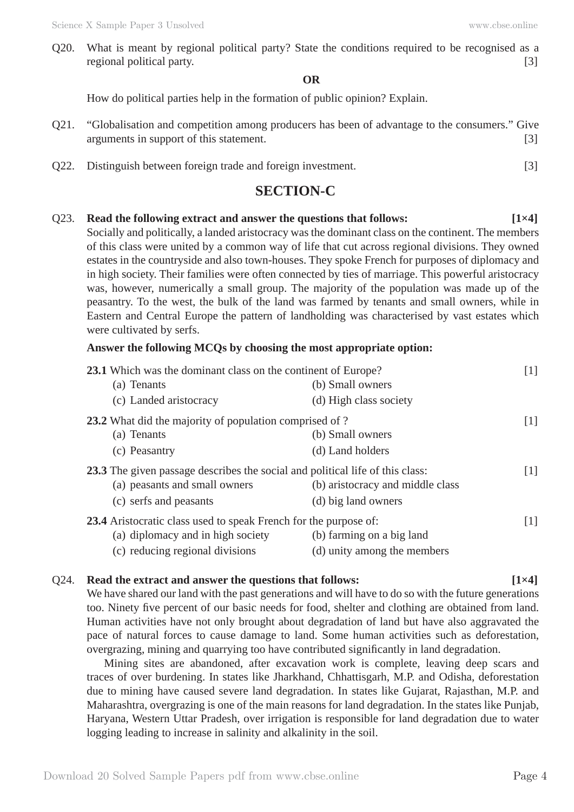Q20. What is meant by regional political party? State the conditions required to be recognised as a regional political party. [3]

#### **OR**

How do political parties help in the formation of public opinion? Explain.

- Q21. "Globalisation and competition among producers has been of advantage to the consumers." Give arguments in support of this statement. [3]
- Q22. Distinguish between foreign trade and foreign investment. [3]

# **SECTION-C**

# Q23. **Read the following extract and answer the questions that follows: [1×4]**

Socially and politically, a landed aristocracy was the dominant class on the continent. The members of this class were united by a common way of life that cut across regional divisions. They owned estates in the countryside and also town-houses. They spoke French for purposes of diplomacy and in high society. Their families were often connected by ties of marriage. This powerful aristocracy was, however, numerically a small group. The majority of the population was made up of the peasantry. To the west, the bulk of the land was farmed by tenants and small owners, while in Eastern and Central Europe the pattern of landholding was characterised by vast estates which were cultivated by serfs.

## **Answer the following MCQs by choosing the most appropriate option:**

| 23.1 Which was the dominant class on the continent of Europe?                 |                                  | $[1]$ |
|-------------------------------------------------------------------------------|----------------------------------|-------|
| (a) Tenants                                                                   | (b) Small owners                 |       |
| (c) Landed aristocracy                                                        | (d) High class society           |       |
| 23.2 What did the majority of population comprised of ?                       |                                  | $[1]$ |
| (a) Tenants                                                                   | (b) Small owners                 |       |
| (c) Peasantry                                                                 | (d) Land holders                 |       |
| 23.3 The given passage describes the social and political life of this class: |                                  |       |
| (a) peasants and small owners                                                 | (b) aristocracy and middle class |       |
| (c) serfs and peasants                                                        | (d) big land owners              |       |
| 23.4 Aristocratic class used to speak French for the purpose of:              |                                  |       |
| (a) diplomacy and in high society                                             | (b) farming on a big land        |       |
| (c) reducing regional divisions                                               | (d) unity among the members      |       |

# Q24. **Read the extract and answer the questions that follows:** [1×4]

We have shared our land with the past generations and will have to do so with the future generations too. Ninety five percent of our basic needs for food, shelter and clothing are obtained from land. Human activities have not only brought about degradation of land but have also aggravated the pace of natural forces to cause damage to land. Some human activities such as deforestation, overgrazing, mining and quarrying too have contributed significantly in land degradation.

Mining sites are abandoned, after excavation work is complete, leaving deep scars and traces of over burdening. In states like Jharkhand, Chhattisgarh, M.P. and Odisha, deforestation due to mining have caused severe land degradation. In states like Gujarat, Rajasthan, M.P. and Maharashtra, overgrazing is one of the main reasons for land degradation. In the states like Punjab, Haryana, Western Uttar Pradesh, over irrigation is responsible for land degradation due to water logging leading to increase in salinity and alkalinity in the soil.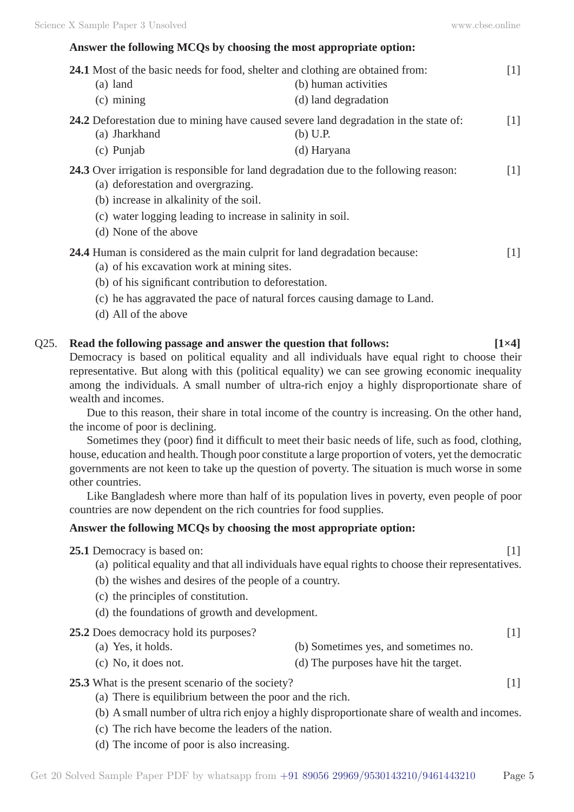## **Answer the following MCQs by choosing the most appropriate option:**

| <b>24.1</b> Most of the basic needs for food, shelter and clothing are obtained from:                                            |                                                                                                            |                   |  |  |
|----------------------------------------------------------------------------------------------------------------------------------|------------------------------------------------------------------------------------------------------------|-------------------|--|--|
| $(a)$ land                                                                                                                       | (b) human activities                                                                                       |                   |  |  |
| $(c)$ mining                                                                                                                     | (d) land degradation                                                                                       |                   |  |  |
| (a) Jharkhand                                                                                                                    | <b>24.2</b> Deforestation due to mining have caused severe land degradation in the state of:<br>$(b)$ U.P. | $\lceil 1 \rceil$ |  |  |
| (c) Punjab                                                                                                                       | (d) Haryana                                                                                                |                   |  |  |
| (a) deforestation and overgrazing.<br>(b) increase in alkalinity of the soil.                                                    | <b>24.3</b> Over irrigation is responsible for land degradation due to the following reason:               | $[1]$             |  |  |
| (c) water logging leading to increase in salinity in soil.<br>(d) None of the above                                              |                                                                                                            |                   |  |  |
| <b>24.4</b> Human is considered as the main culprit for land degradation because:<br>(a) of his excavation work at mining sites. |                                                                                                            | $\lceil 1 \rceil$ |  |  |
| (b) of his significant contribution to deforestation.                                                                            |                                                                                                            |                   |  |  |
|                                                                                                                                  | (c) he has aggravated the pace of natural forces causing damage to Land.                                   |                   |  |  |

(d) All of the above

### Q25. **Read the following passage and answer the question that follows: [1×4]**

Democracy is based on political equality and all individuals have equal right to choose their representative. But along with this (political equality) we can see growing economic inequality among the individuals. A small number of ultra-rich enjoy a highly disproportionate share of wealth and incomes.

Due to this reason, their share in total income of the country is increasing. On the other hand, the income of poor is declining.

Sometimes they (poor) find it difficult to meet their basic needs of life, such as food, clothing, house, education and health. Though poor constitute a large proportion of voters, yet the democratic governments are not keen to take up the question of poverty. The situation is much worse in some other countries.

Like Bangladesh where more than half of its population lives in poverty, even people of poor countries are now dependent on the rich countries for food supplies.

#### **Answer the following MCQs by choosing the most appropriate option:**

### **25.1** Democracy is based on: [1]

- (a) political equality and that all individuals have equal rights to choose their representatives.
- (b) the wishes and desires of the people of a country.
- (c) the principles of constitution.
- (d) the foundations of growth and development.
- **25.2** Does democracy hold its purposes? [1]
	- (a) Yes, it holds. (b) Sometimes yes, and sometimes no.
	- (c) No, it does not. (d) The purposes have hit the target.

#### **25.3** What is the present scenario of the society? [1]

- (a) There is equilibrium between the poor and the rich.
- (b) A small number of ultra rich enjoy a highly disproportionate share of wealth and incomes.
- (c) The rich have become the leaders of the nation.
- (d) The income of poor is also increasing.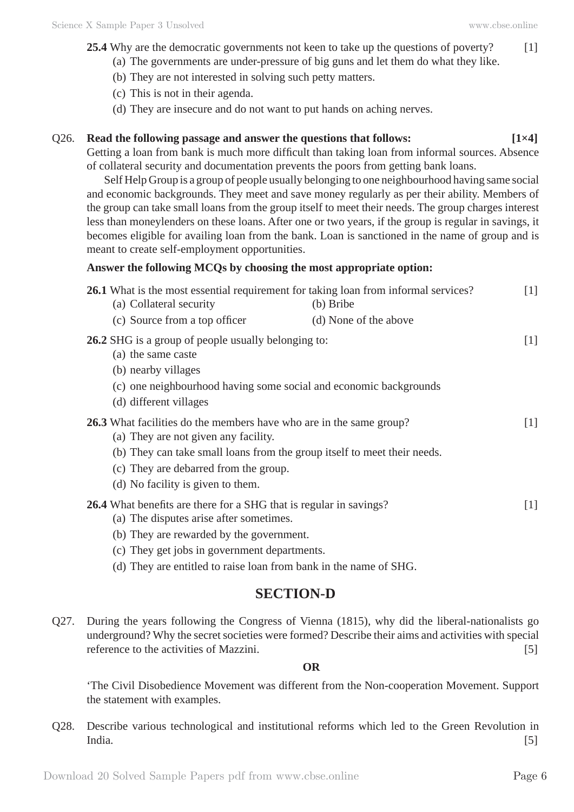- 25.4 Why are the democratic governments not keen to take up the questions of poverty? [1]
	- (a) The governments are under-pressure of big guns and let them do what they like.
	- (b) They are not interested in solving such petty matters.
	- (c) This is not in their agenda.
	- (d) They are insecure and do not want to put hands on aching nerves.

## Q26. **Read the following passage and answer the questions that follows: [1×4]**

Getting a loan from bank is much more difficult than taking loan from informal sources. Absence of collateral security and documentation prevents the poors from getting bank loans.

Self Help Group is a group of people usually belonging to one neighbourhood having same social and economic backgrounds. They meet and save money regularly as per their ability. Members of the group can take small loans from the group itself to meet their needs. The group charges interest less than moneylenders on these loans. After one or two years, if the group is regular in savings, it becomes eligible for availing loan from the bank. Loan is sanctioned in the name of group and is meant to create self-employment opportunities.

## **Answer the following MCQs by choosing the most appropriate option:**

|                                                                                                         | 26.1 What is the most essential requirement for taking loan from informal services? | $\lceil 1 \rceil$ |
|---------------------------------------------------------------------------------------------------------|-------------------------------------------------------------------------------------|-------------------|
| (a) Collateral security                                                                                 | (b) Bribe                                                                           |                   |
| (c) Source from a top officer                                                                           | (d) None of the above                                                               |                   |
| <b>26.2</b> SHG is a group of people usually belonging to:<br>(a) the same caste<br>(b) nearby villages |                                                                                     | $[1]$             |
|                                                                                                         | (c) one neighbourhood having some social and economic backgrounds                   |                   |
| (d) different villages                                                                                  |                                                                                     |                   |
| (a) They are not given any facility.                                                                    | 26.3 What facilities do the members have who are in the same group?                 | $[1]$             |
|                                                                                                         | (b) They can take small loans from the group itself to meet their needs.            |                   |
| (c) They are debarred from the group.                                                                   |                                                                                     |                   |
| (d) No facility is given to them.                                                                       |                                                                                     |                   |
| <b>26.4</b> What benefits are there for a SHG that is regular in savings?                               |                                                                                     | $[1]$             |
| (a) The disputes arise after sometimes.                                                                 |                                                                                     |                   |
| (b) They are rewarded by the government.                                                                |                                                                                     |                   |
| (c) They get jobs in government departments.                                                            |                                                                                     |                   |

(d) They are entitled to raise loan from bank in the name of SHG.

# **SECTION-D**

Q27. During the years following the Congress of Vienna (1815), why did the liberal-nationalists go underground? Why the secret societies were formed? Describe their aims and activities with special reference to the activities of Mazzini. [5]

**OR**

'The Civil Disobedience Movement was different from the Non-cooperation Movement. Support the statement with examples.

Q28. Describe various technological and institutional reforms which led to the Green Revolution in India. [5]